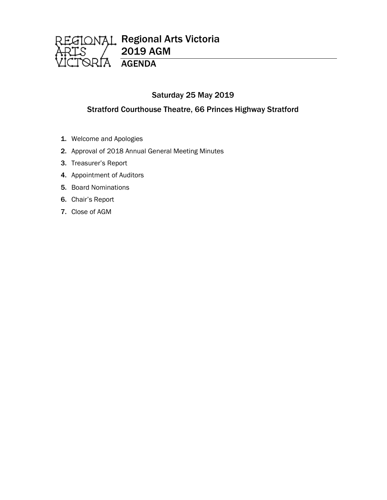

# Saturday 25 May 2019

# Stratford Courthouse Theatre, 66 Princes Highway Stratford

- 1. Welcome and Apologies
- 2. Approval of 2018 Annual General Meeting Minutes
- 3. Treasurer's Report
- 4. Appointment of Auditors
- 5. Board Nominations
- 6. Chair's Report
- 7. Close of AGM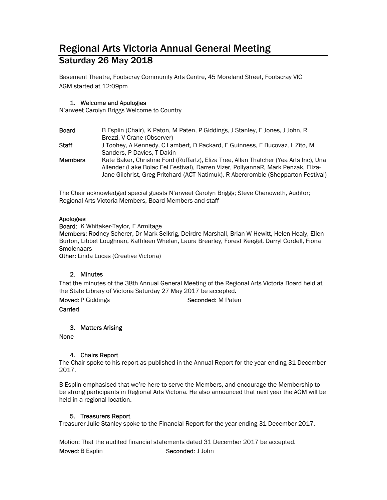# Regional Arts Victoria Annual General Meeting Saturday 26 May 2018

Basement Theatre, Footscray Community Arts Centre, 45 Moreland Street, Footscray VIC AGM started at 12:09pm

#### 1. Welcome and Apologies

N'arweet Carolyn Briggs Welcome to Country

| <b>Board</b>   | B Esplin (Chair), K Paton, M Paten, P Giddings, J Stanley, E Jones, J John, R                                                                                          |
|----------------|------------------------------------------------------------------------------------------------------------------------------------------------------------------------|
|                | Brezzi, V Crane (Observer)                                                                                                                                             |
| Staff          | J Toohey, A Kennedy, C Lambert, D Packard, E Guinness, E Bucovaz, L Zito, M                                                                                            |
|                | Sanders, P Davies, T Dakin                                                                                                                                             |
| <b>Members</b> | Kate Baker, Christine Ford (Ruffartz), Eliza Tree, Allan Thatcher (Yea Arts Inc), Una                                                                                  |
|                | Allender (Lake Bolac Eel Festival), Darren Vizer, PollyannaR, Mark Penzak, Eliza-<br>Jane Gilchrist, Greg Pritchard (ACT Natimuk), R Abercrombie (Shepparton Festival) |

The Chair acknowledged special guests N'arweet Carolyn Briggs; Steve Chenoweth, Auditor; Regional Arts Victoria Members, Board Members and staff

### Apologies

Board: K Whitaker-Taylor, E Armitage

Members: Rodney Scherer, Dr Mark Selkrig, Deirdre Marshall, Brian W Hewitt, Helen Healy, Ellen Burton, Libbet Loughnan, Kathleen Whelan, Laura Brearley, Forest Keegel, Darryl Cordell, Fiona **Smolenaars** 

**Other:** Linda Lucas (Creative Victoria)

#### 2. Minutes

That the minutes of the 38th Annual General Meeting of the Regional Arts Victoria Board held at the State Library of Victoria Saturday 27 May 2017 be accepted.

Moved: P Giddings Seconded: M Paten

**Carried** 

3. Matters Arising

None

#### 4. Chairs Report

The Chair spoke to his report as published in the Annual Report for the year ending 31 December 2017.

B Esplin emphasised that we're here to serve the Members, and encourage the Membership to be strong participants in Regional Arts Victoria. He also announced that next year the AGM will be held in a regional location.

# 5. Treasurers Report

Treasurer Julie Stanley spoke to the Financial Report for the year ending 31 December 2017.

Motion: That the audited financial statements dated 31 December 2017 be accepted. Moved: B Esplin Seconded: J John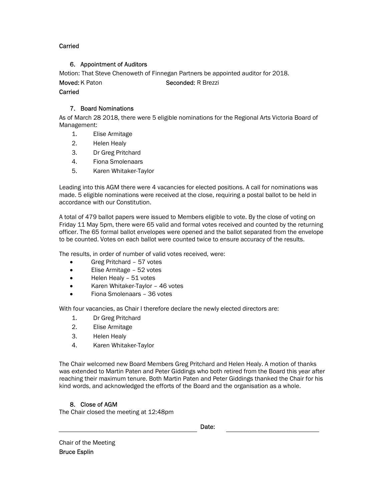### Carried

### 6. Appointment of Auditors

Motion: That Steve Chenoweth of Finnegan Partners be appointed auditor for 2018.

Moved: K Paton Seconded: R Brezzi

# Carried

# 7. Board Nominations

As of March 28 2018, there were 5 eligible nominations for the Regional Arts Victoria Board of Management:

- 1. Elise Armitage
- 2. Helen Healy
- 3. Dr Greg Pritchard
- 4. Fiona Smolenaars
- 5. Karen Whitaker-Taylor

Leading into this AGM there were 4 vacancies for elected positions. A call for nominations was made. 5 eligible nominations were received at the close, requiring a postal ballot to be held in accordance with our Constitution.

A total of 479 ballot papers were issued to Members eligible to vote. By the close of voting on Friday 11 May 5pm, there were 65 valid and formal votes received and counted by the returning officer. The 65 formal ballot envelopes were opened and the ballot separated from the envelope to be counted. Votes on each ballot were counted twice to ensure accuracy of the results.

The results, in order of number of valid votes received, were:

- Greg Pritchard 57 votes
- Elise Armitage 52 votes
- Helen Healy 51 votes
- Karen Whitaker-Taylor 46 votes
- Fiona Smolenaars 36 votes

With four vacancies, as Chair I therefore declare the newly elected directors are:

- 1. Dr Greg Pritchard
- 2. Elise Armitage
- 3. Helen Healy
- 4. Karen Whitaker-Taylor

The Chair welcomed new Board Members Greg Pritchard and Helen Healy. A motion of thanks was extended to Martin Paten and Peter Giddings who both retired from the Board this year after reaching their maximum tenure. Both Martin Paten and Peter Giddings thanked the Chair for his kind words, and acknowledged the efforts of the Board and the organisation as a whole.

# 8. Close of AGM

The Chair closed the meeting at 12:48pm

|  | Date: |
|--|-------|
|--|-------|

Chair of the Meeting Bruce Esplin